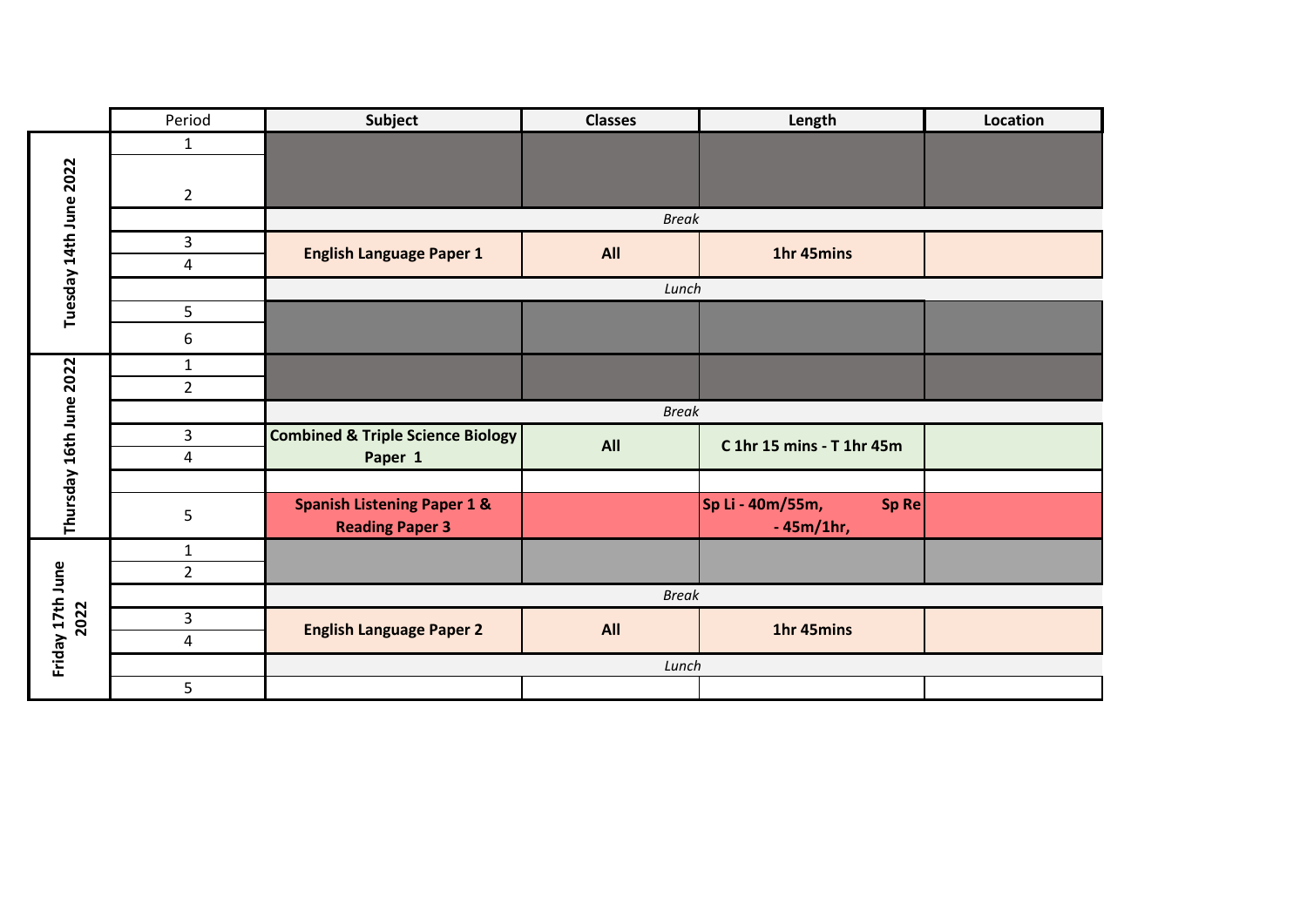|                          | Period         | Subject                                                          | <b>Classes</b> | Length                                   | Location |  |
|--------------------------|----------------|------------------------------------------------------------------|----------------|------------------------------------------|----------|--|
| Tuesday 14th June 2022   | $\mathbf{1}$   |                                                                  |                |                                          |          |  |
|                          | $\overline{2}$ |                                                                  | <b>Break</b>   |                                          |          |  |
|                          | 3              |                                                                  |                |                                          |          |  |
|                          | 4              | <b>English Language Paper 1</b>                                  | All            | 1hr 45mins                               |          |  |
|                          |                | Lunch                                                            |                |                                          |          |  |
|                          | 5              |                                                                  |                |                                          |          |  |
|                          | 6              |                                                                  |                |                                          |          |  |
| Thursday 16th June 2022  | $\mathbf 1$    |                                                                  |                |                                          |          |  |
|                          | $\overline{2}$ |                                                                  |                |                                          |          |  |
|                          |                | <b>Break</b>                                                     |                |                                          |          |  |
|                          | 3<br>4         | <b>Combined &amp; Triple Science Biology</b><br>Paper 1          | All            | C 1hr 15 mins - T 1hr 45m                |          |  |
|                          |                |                                                                  |                |                                          |          |  |
|                          | 5              | <b>Spanish Listening Paper 1 &amp;</b><br><b>Reading Paper 3</b> |                | Sp Li - 40m/55m,<br>Sp Re<br>$-45m/1hr,$ |          |  |
| Friday 17th June<br>2022 | $\mathbf{1}$   |                                                                  |                |                                          |          |  |
|                          | $\overline{2}$ |                                                                  |                |                                          |          |  |
|                          |                | <b>Break</b>                                                     |                |                                          |          |  |
|                          | 3              | <b>English Language Paper 2</b>                                  | All            | 1hr 45mins                               |          |  |
|                          | 4              |                                                                  |                |                                          |          |  |
|                          |                | Lunch                                                            |                |                                          |          |  |
|                          | 5              |                                                                  |                |                                          |          |  |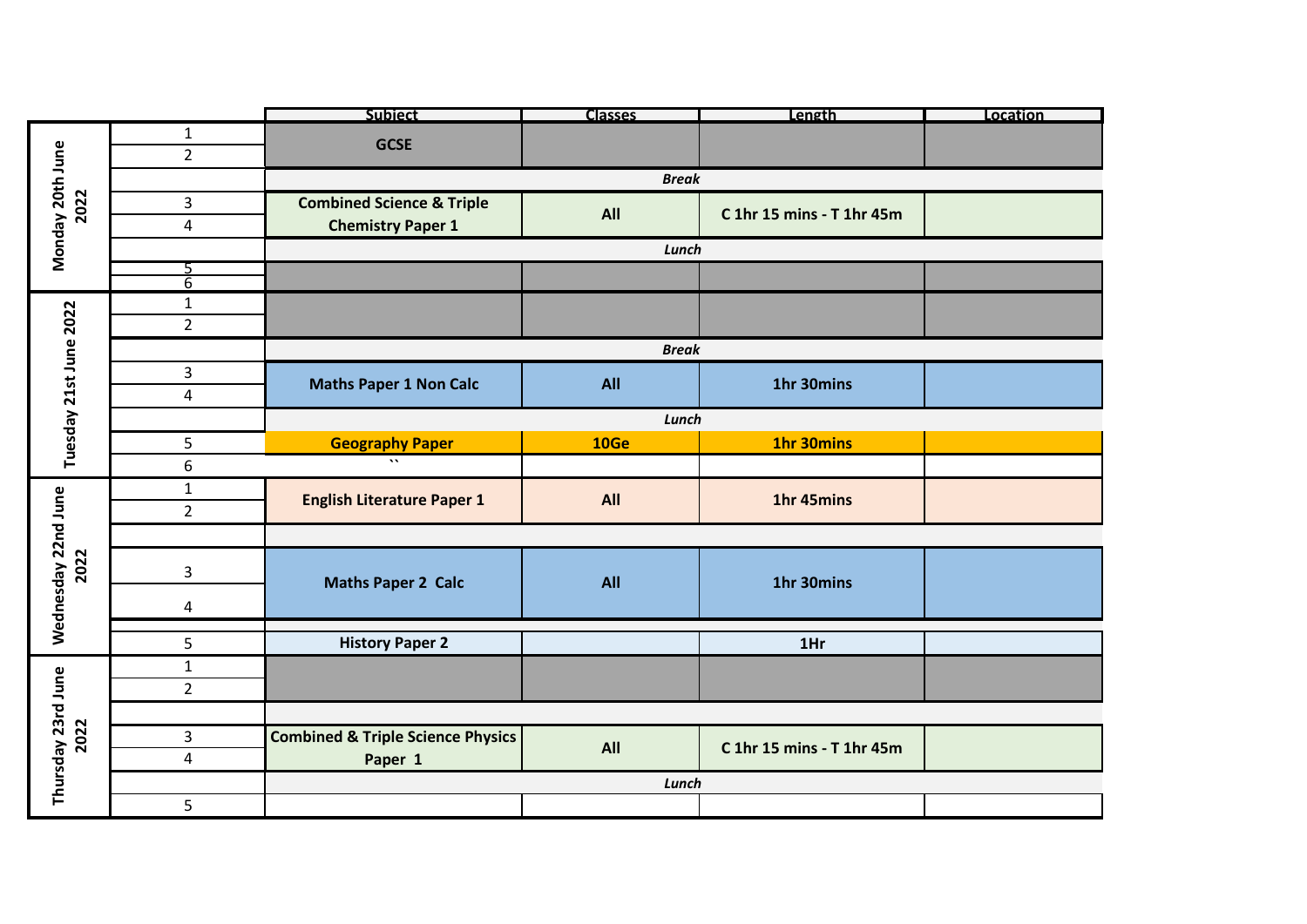|                          |                | <b>Subiect</b>                               | Classes | Length                    | Location |  |  |
|--------------------------|----------------|----------------------------------------------|---------|---------------------------|----------|--|--|
| Monday 20th June<br>2022 | $\mathbf{1}$   | <b>GCSE</b>                                  |         |                           |          |  |  |
|                          | $\overline{2}$ |                                              |         |                           |          |  |  |
|                          |                | <b>Break</b>                                 |         |                           |          |  |  |
|                          | 3              | <b>Combined Science &amp; Triple</b>         |         |                           |          |  |  |
|                          | 4              | <b>Chemistry Paper 1</b>                     | All     | C 1hr 15 mins - T 1hr 45m |          |  |  |
|                          |                | Lunch                                        |         |                           |          |  |  |
|                          |                |                                              |         |                           |          |  |  |
|                          | $\overline{6}$ |                                              |         |                           |          |  |  |
|                          | $\mathbf{1}$   |                                              |         |                           |          |  |  |
| Tuesday 21st June 2022   | $\overline{2}$ |                                              |         |                           |          |  |  |
|                          |                | <b>Break</b>                                 |         |                           |          |  |  |
|                          | 3              | <b>Maths Paper 1 Non Calc</b>                | All     | 1hr 30mins                |          |  |  |
|                          | 4              |                                              |         |                           |          |  |  |
|                          |                | Lunch                                        |         |                           |          |  |  |
|                          | 5              | <b>Geography Paper</b>                       | 10Ge    | 1hr 30mins                |          |  |  |
|                          | 6              | $\ddot{\phantom{a}}$                         |         |                           |          |  |  |
|                          | $\mathbf{1}$   | <b>English Literature Paper 1</b>            | All     | 1hr 45mins                |          |  |  |
|                          | $\overline{2}$ |                                              |         |                           |          |  |  |
|                          |                |                                              |         |                           |          |  |  |
| 2022                     |                | <b>Maths Paper 2 Calc</b>                    | All     | 1hr 30mins                |          |  |  |
|                          | 3              |                                              |         |                           |          |  |  |
|                          | 4              |                                              |         |                           |          |  |  |
| Wednesday 22nd June      |                |                                              |         |                           |          |  |  |
|                          | 5              | <b>History Paper 2</b>                       |         | 1Hr                       |          |  |  |
| Thursday 23rd June       | $\mathbf{1}$   |                                              |         |                           |          |  |  |
|                          | $\overline{2}$ |                                              |         |                           |          |  |  |
|                          |                |                                              |         |                           |          |  |  |
| 2022                     | 3              | <b>Combined &amp; Triple Science Physics</b> | All     | C 1hr 15 mins - T 1hr 45m |          |  |  |
|                          | 4              | Paper 1                                      |         |                           |          |  |  |
|                          |                | Lunch                                        |         |                           |          |  |  |
|                          | 5              |                                              |         |                           |          |  |  |